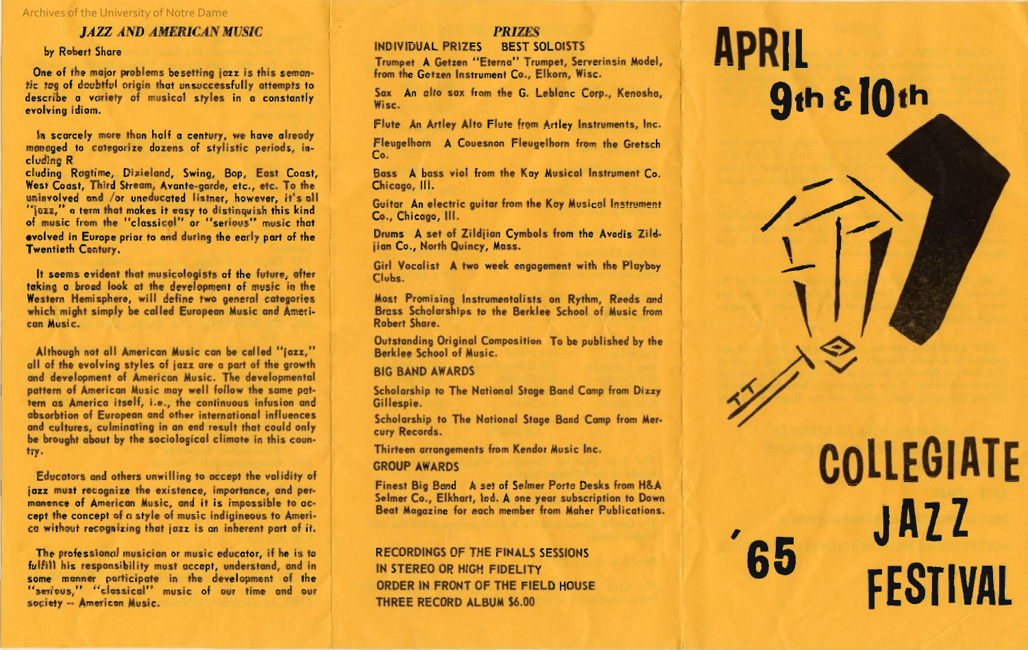Archives of the University of Notre Dame

# *JAZZ AND AMERICAN MUSIC*

by Robert Share

One of the major problems besetting jazz is this semantic tag of doubtful origin that unsuccessfully attempts to describe a variety of musical styles in a constantly evolving idiom.

In scarcely more than half a century, we have already managed to categorize dozens of stylistic periods, including R

cluding Ragtime, Dixieland, Swing, Bop, East Coast, West Coast, Third Stream, Avante-garde, etc., etc. To the uninvolved and *lor* uneducated listner, however, it's all "jazz," a term that makes it easy to distinquish this kind of music from the "classical" or "serious" music that evolved in Europe prior to and during the early part of the Twentieth Century.

It seems evident that musicologists of the future, after taking a broad look at the development of music in the Western Hemisphere, will define two general categories which might simply be called European Music and American Music.

Although not all American Music can be called "jazz," all of the evolving styles of jazz are a part of the growth and development of American Music. The developmental pattern of American Music may well follow the same pattern as America itself, i.e., the continuous infusion and absorbtion of European and other international influences and cultures, culminating in an end result that could only be brought about by the sociological climate in this country.

Educators and others unwilling to accept the validity of jazz must recognize the existence, importance, and permanence of American Music, and it is impossible to accept the concept of a style of music indigineous to America without recognizing that jazz is an inherent part of it.

The professional musician or music educator, if he is to fulfill his responsibility must accept, understand, and in some manner participate in the development of the "serious," "classical" music of our time and our society -- American Music.

# *PRIZES*

# INDIVIDUAL PRIZES BEST SOLOISTS

Trumpet A Getzen "Eterna" Trumpet, Serverinsin Model, from the Getzen Instrument Co., Elkorn, Wise.

Sax An alto sax from the G. Leblanc Corp., Kenosha, Wise.

Flute An Artley Alto Flute from Artley Instruments, Inc.

Fleugelhorn A Couesnon Fleugelhorn from the Gretsch Co.

Bass A bass viol from the Kay Musical Instrument Co. Chicago, III.

Guitar An electric guitar from the Kay Musical Instrument Co., Chicago, III.

Drums A set of Zildjian Cymbols from the Avedis Zild jian Co., North Quincy, Mass.

Girl Vocalist A two week engagement with the Playboy Clubs.

Most Promising Instrumentalists on Rythm, Reeds and Brass Scholarships to the Berklee School of Music from Robert Share.

Outstanding Original Composition To be published by the Berklee School of Music.

BIG BAND AWARDS

Scholarship to The National Stage Band Camp from Dizzy Gillespie.

Scholarship to The National Stage Band Camp from Mer cury Records.

Thirteen arrangements from Kendor Music Inc.

### GROUP AWARDS

Finest Big Band A set of Selmer Porta Desks from H&A Selmer Co., Elkhart, Ind. A one year subscription to Down Beat Magazine for each member from Maher Publications.

RECORDINGS OF THE FINALS SESSIONS IN STEREO OR HIGH FIDELITY ORDER IN FRONT OF THE FIELD HOUSE THREE RECORD ALBUM \$6.00

# **APRIL 9th tlOt<sup>h</sup>**

, .

 $\checkmark$ 

,.,-

 $\mathcal{L}$ 

**COLLEGIATE** , **JAZZ <sup>65</sup>FESTIVAL**